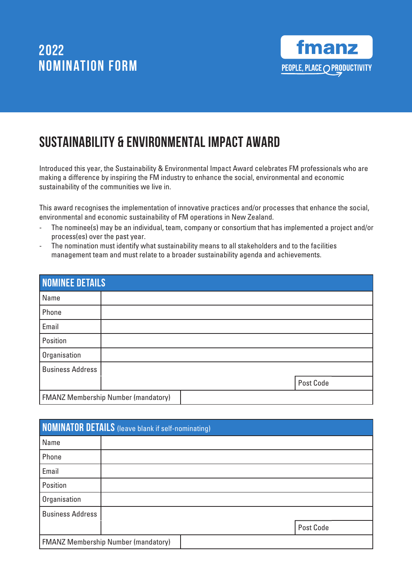

# SUSTAINABILITY & ENVIRONMENTAL IMPACT AWARD

Introduced this year, the Sustainability & Environmental Impact Award celebrates FM professionals who are making a difference by inspiring the FM industry to enhance the social, environmental and economic sustainability of the communities we live in.

This award recognises the implementation of innovative practices and/or processes that enhance the social, environmental and economic sustainability of FM operations in New Zealand.

- The nominee(s) may be an individual, team, company or consortium that has implemented a project and/or process(es) over the past year.
- The nomination must identify what sustainability means to all stakeholders and to the facilities management team and must relate to a broader sustainability agenda and achievements.

| <b>NOMINEE DETAILS</b>                     |  |  |           |  |
|--------------------------------------------|--|--|-----------|--|
| Name                                       |  |  |           |  |
| Phone                                      |  |  |           |  |
| Email                                      |  |  |           |  |
| Position                                   |  |  |           |  |
| Organisation                               |  |  |           |  |
| <b>Business Address</b>                    |  |  |           |  |
|                                            |  |  | Post Code |  |
| <b>FMANZ Membership Number (mandatory)</b> |  |  |           |  |

| <b>NOMINATOR DETAILS</b> (leave blank if self-nominating) |                                            |  |           |  |
|-----------------------------------------------------------|--------------------------------------------|--|-----------|--|
| Name                                                      |                                            |  |           |  |
| Phone                                                     |                                            |  |           |  |
| Email                                                     |                                            |  |           |  |
| Position                                                  |                                            |  |           |  |
| Organisation                                              |                                            |  |           |  |
| <b>Business Address</b>                                   |                                            |  |           |  |
|                                                           |                                            |  | Post Code |  |
|                                                           | <b>FMANZ Membership Number (mandatory)</b> |  |           |  |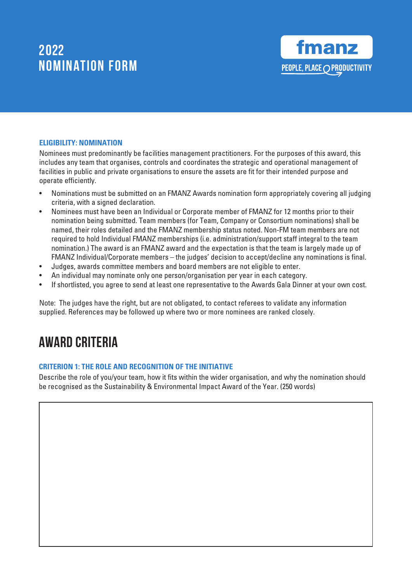

### **ELIGIBILITY: NOMINATION**

Nominees must predominantly be facilities management practitioners. For the purposes of this award, this includes any team that organises, controls and coordinates the strategic and operational management of facilities in public and private organisations to ensure the assets are fit for their intended purpose and operate efficiently.

- Nominations must be submitted on an FMANZ Awards nomination form appropriately covering all judging criteria, with a signed declaration.
- Nominees must have been an Individual or Corporate member of FMANZ for 12 months prior to their nomination being submitted. Team members (for Team, Company or Consortium nominations) shall be named, their roles detailed and the FMANZ membership status noted. Non-FM team members are not required to hold Individual FMANZ memberships (i.e. administration/support staff integral to the team nomination.) The award is an FMANZ award and the expectation is that the team is largely made up of FMANZ Individual/Corporate members – the judges' decision to accept/decline any nominations is final.
- Judges, awards committee members and board members are not eligible to enter.
- An individual may nominate only one person/organisation per year in each category.
- If shortlisted, you agree to send at least one representative to the Awards Gala Dinner at your own cost.

Note: The judges have the right, but are not obligated, to contact referees to validate any information supplied. References may be followed up where two or more nominees are ranked closely.

### Award Criteria

#### **CRITERION 1: THE ROLE AND RECOGNITION OF THE INITIATIVE**

Describe the role of you/your team, how it fits within the wider organisation, and why the nomination should be recognised as the Sustainability & Environmental Impact Award of the Year. (250 words)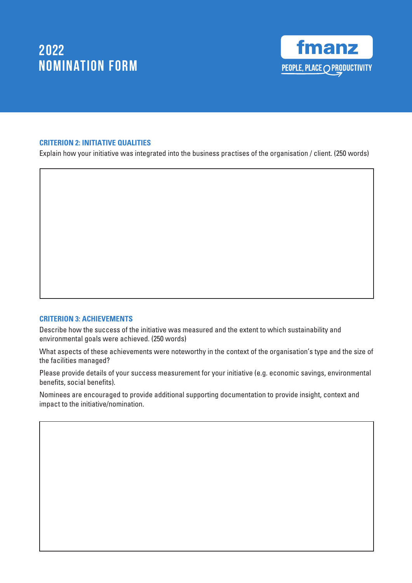

#### **CRITERION 2: INITIATIVE QUALITIES**

Explain how your initiative was integrated into the business practises of the organisation / client. (250 words)

#### **CRITERION 3: ACHIEVEMENTS**

Describe how the success of the initiative was measured and the extent to which sustainability and environmental goals were achieved. (250 words)

What aspects of these achievements were noteworthy in the context of the organisation's type and the size of the facilities managed?

Please provide details of your success measurement for your initiative (e.g. economic savings, environmental benefits, social benefits).

Nominees are encouraged to provide additional supporting documentation to provide insight, context and impact to the initiative/nomination.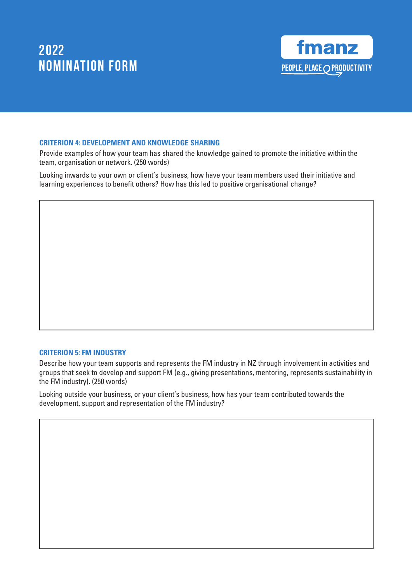

### **CRITERION 4: DEVELOPMENT AND KNOWLEDGE SHARING**

Provide examples of how your team has shared the knowledge gained to promote the initiative within the team, organisation or network. (250 words)

Looking inwards to your own or client's business, how have your team members used their initiative and learning experiences to benefit others? How has this led to positive organisational change?

#### **CRITERION 5: FM INDUSTRY**

Describe how your team supports and represents the FM industry in NZ through involvement in activities and groups that seek to develop and support FM (e.g., giving presentations, mentoring, represents sustainability in the FM industry). (250 words)

Looking outside your business, or your client's business, how has your team contributed towards the development, support and representation of the FM industry?